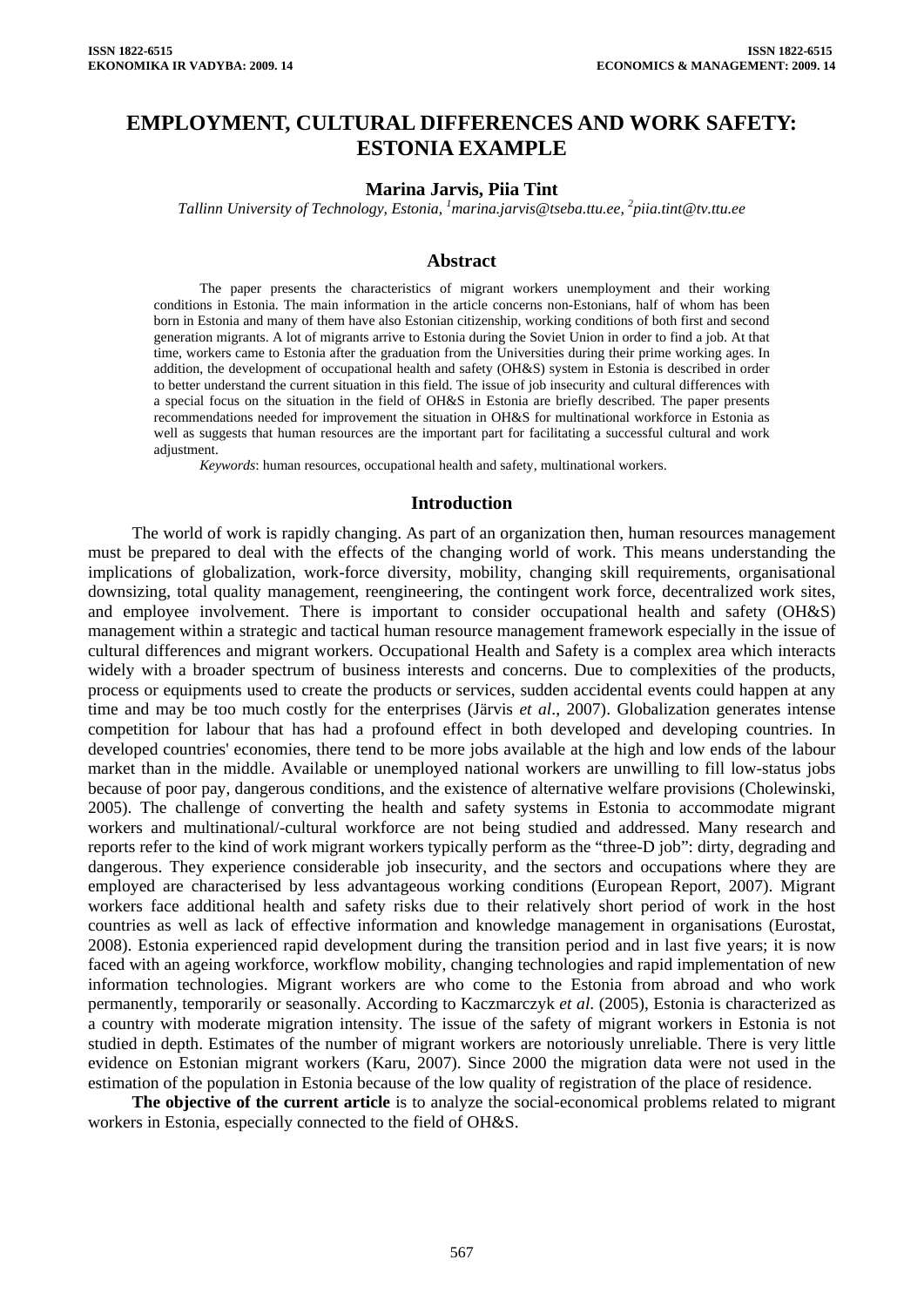# **EMPLOYMENT, CULTURAL DIFFERENCES AND WORK SAFETY: ESTONIA EXAMPLE**

#### **Marina Jarvis, Piia Tint**

*Tallinn University of Technology, Estonia, 1 [marina.jarvis@tseba.ttu.ee,](mailto:marina.jarvis@tseba.ttu.ee) <sup>2</sup> [piia.tint@tv.ttu.ee](mailto:piia.tint@tv.ttu.ee)* 

#### **Abstract**

The paper presents the characteristics of migrant workers unemployment and their working conditions in Estonia. The main information in the article concerns non-Estonians, half of whom has been born in Estonia and many of them have also Estonian citizenship, working conditions of both first and second generation migrants. A lot of migrants arrive to Estonia during the Soviet Union in order to find a job. At that time, workers came to Estonia after the graduation from the Universities during their prime working ages. In addition, the development of occupational health and safety (OH&S) system in Estonia is described in order to better understand the current situation in this field. The issue of job insecurity and cultural differences with a special focus on the situation in the field of OH&S in Estonia are briefly described. The paper presents recommendations needed for improvement the situation in OH&S for multinational workforce in Estonia as well as suggests that human resources are the important part for facilitating a successful cultural and work adjustment.

*Keywords*: human resources, occupational health and safety, multinational workers.

#### **Introduction**

The world of work is rapidly changing. As part of an organization then, human resources management must be prepared to deal with the effects of the changing world of work. This means understanding the implications of globalization, work-force diversity, mobility, changing skill requirements, organisational downsizing, total quality management, reengineering, the contingent work force, decentralized work sites, and employee involvement. There is important to consider occupational health and safety (OH&S) management within a strategic and tactical human resource management framework especially in the issue of cultural differences and migrant workers. Occupational Health and Safety is a complex area which interacts widely with a broader spectrum of business interests and concerns. Due to complexities of the products, process or equipments used to create the products or services, sudden accidental events could happen at any time and may be too much costly for the enterprises (Järvis *et al*., 2007). Globalization generates intense competition for labour that has had a profound effect in both developed and developing countries. In developed countries' economies, there tend to be more jobs available at the high and low ends of the labour market than in the middle. Available or unemployed national workers are unwilling to fill low-status jobs because of poor pay, dangerous conditions, and the existence of alternative welfare provisions (Cholewinski, 2005). The challenge of converting the health and safety systems in Estonia to accommodate migrant workers and multinational/-cultural workforce are not being studied and addressed. Many research and reports refer to the kind of work migrant workers typically perform as the "three-D job": dirty, degrading and dangerous. They experience considerable job insecurity, and the sectors and occupations where they are employed are characterised by less advantageous working conditions (European Report, 2007). Migrant workers face additional health and safety risks due to their relatively short period of work in the host countries as well as lack of effective information and knowledge management in organisations (Eurostat, 2008). Estonia experienced rapid development during the transition period and in last five years; it is now faced with an ageing workforce, workflow mobility, changing technologies and rapid implementation of new information technologies. Migrant workers are who come to the Estonia from abroad and who work permanently, temporarily or seasonally. According to Kaczmarczyk *et al*. (2005), Estonia is characterized as a country with moderate migration intensity. The issue of the safety of migrant workers in Estonia is not studied in depth. Estimates of the number of migrant workers are notoriously unreliable. There is very little evidence on Estonian migrant workers (Karu, 2007). Since 2000 the migration data were not used in the estimation of the population in Estonia because of the low quality of registration of the place of residence.

**The objective of the current article** is to analyze the social-economical problems related to migrant workers in Estonia, especially connected to the field of OH&S.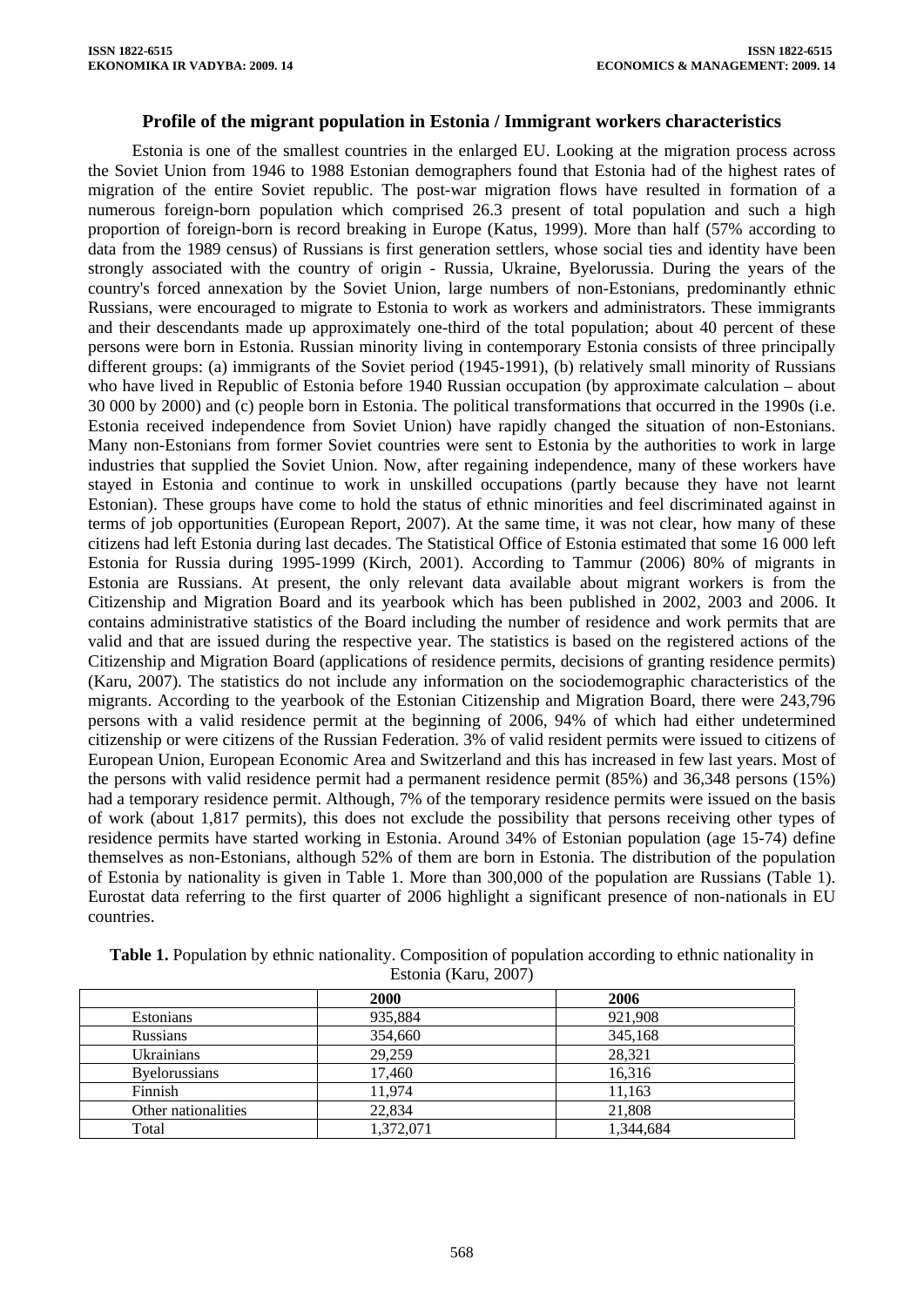### **Profile of the migrant population in Estonia / Immigrant workers characteristics**

Estonia is one of the smallest countries in the enlarged EU. Looking at the migration process across the Soviet Union from 1946 to 1988 Estonian demographers found that Estonia had of the highest rates of migration of the entire Soviet republic. The post-war migration flows have resulted in formation of a numerous foreign-born population which comprised 26.3 present of total population and such a high proportion of foreign-born is record breaking in Europe (Katus, 1999). More than half (57% according to data from the 1989 census) of Russians is first generation settlers, whose social ties and identity have been strongly associated with the country of origin - Russia, Ukraine, Byelorussia. During the years of the country's forced annexation by the Soviet Union, large numbers of non-Estonians, predominantly ethnic Russians, were encouraged to migrate to Estonia to work as workers and administrators. These immigrants and their descendants made up approximately one-third of the total population; about 40 percent of these persons were born in Estonia. Russian minority living in contemporary Estonia consists of three principally different groups: (a) immigrants of the Soviet period (1945-1991), (b) relatively small minority of Russians who have lived in Republic of Estonia before 1940 Russian occupation (by approximate calculation – about 30 000 by 2000) and (c) people born in Estonia. The political transformations that occurred in the 1990s (i.e. Estonia received independence from Soviet Union) have rapidly changed the situation of non-Estonians. Many non-Estonians from former Soviet countries were sent to Estonia by the authorities to work in large industries that supplied the Soviet Union. Now, after regaining independence, many of these workers have stayed in Estonia and continue to work in unskilled occupations (partly because they have not learnt Estonian). These groups have come to hold the status of ethnic minorities and feel discriminated against in terms of job opportunities (European Report, 2007). At the same time, it was not clear, how many of these citizens had left Estonia during last decades. The Statistical Office of Estonia estimated that some 16 000 left Estonia for Russia during 1995-1999 (Kirch, 2001). According to Tammur (2006) 80% of migrants in Estonia are Russians. At present, the only relevant data available about migrant workers is from the Citizenship and Migration Board and its yearbook which has been published in 2002, 2003 and 2006. It contains administrative statistics of the Board including the number of residence and work permits that are valid and that are issued during the respective year. The statistics is based on the registered actions of the Citizenship and Migration Board (applications of residence permits, decisions of granting residence permits) (Karu, 2007). The statistics do not include any information on the sociodemographic characteristics of the migrants. According to the yearbook of the Estonian Citizenship and Migration Board, there were 243,796 persons with a valid residence permit at the beginning of 2006, 94% of which had either undetermined citizenship or were citizens of the Russian Federation. 3% of valid resident permits were issued to citizens of European Union, European Economic Area and Switzerland and this has increased in few last years. Most of the persons with valid residence permit had a permanent residence permit (85%) and 36,348 persons (15%) had a temporary residence permit. Although, 7% of the temporary residence permits were issued on the basis of work (about 1,817 permits), this does not exclude the possibility that persons receiving other types of residence permits have started working in Estonia. Around 34% of Estonian population (age 15-74) define themselves as non-Estonians, although 52% of them are born in Estonia. The distribution of the population of Estonia by nationality is given in Table 1. More than 300,000 of the population are Russians (Table 1). Eurostat data referring to the first quarter of 2006 highlight a significant presence of non-nationals in EU countries.

|                      | <b>2000</b> | 2006      |
|----------------------|-------------|-----------|
| <b>Estonians</b>     | 935,884     | 921,908   |
| <b>Russians</b>      | 354,660     | 345,168   |
| Ukrainians           | 29,259      | 28,321    |
| <b>Byelorussians</b> | 17,460      | 16,316    |
| Finnish              | 11,974      | 11,163    |
| Other nationalities  | 22,834      | 21,808    |
| Total                | 1,372,071   | 1.344.684 |

**Table 1.** Population by ethnic nationality. Composition of population according to ethnic nationality in Estonia (Karu, 2007)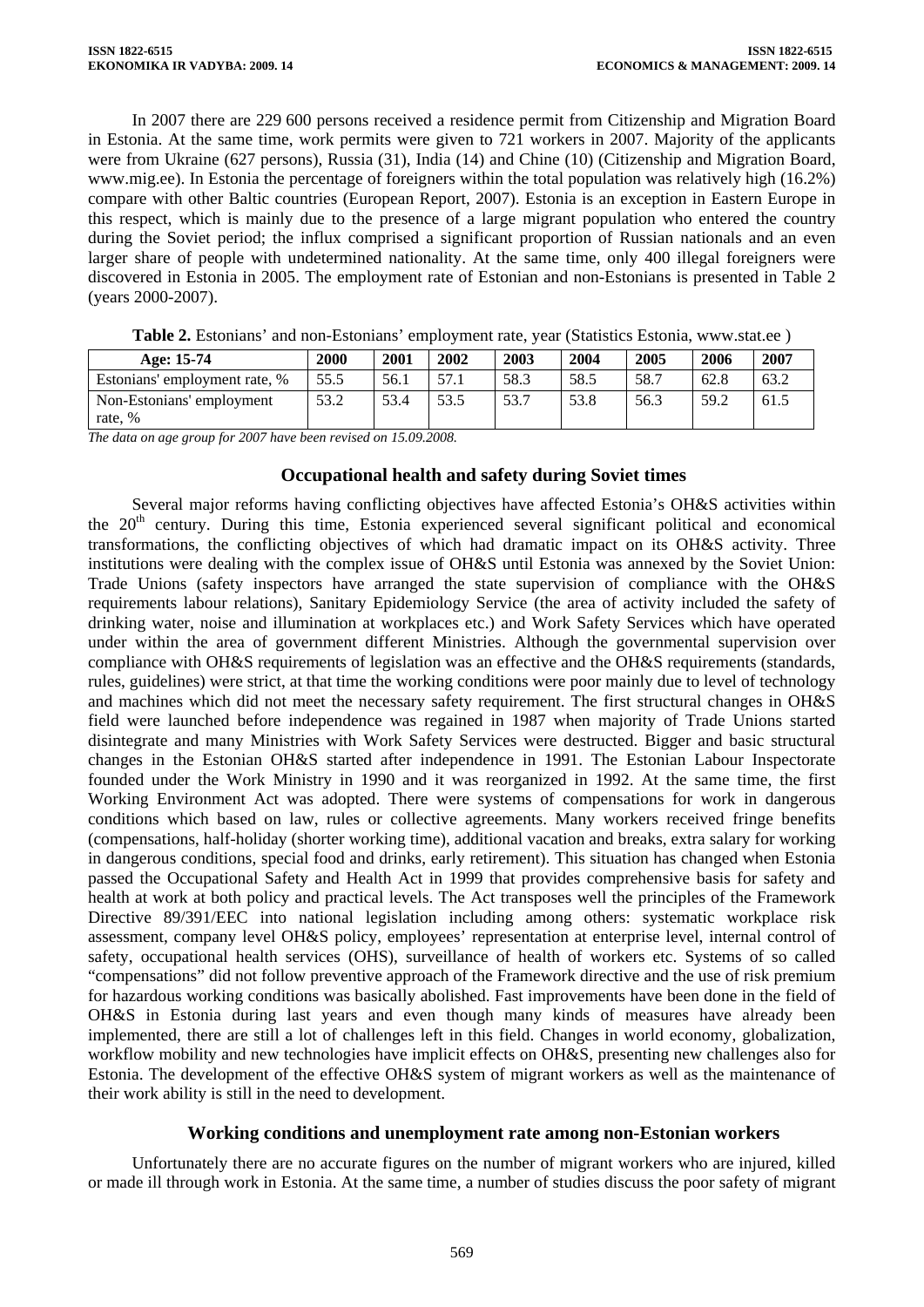In 2007 there are 229 600 persons received a residence permit from Citizenship and Migration Board in Estonia. At the same time, work permits were given to 721 workers in 2007. Majority of the applicants were from Ukraine (627 persons), Russia (31), India (14) and Chine (10) (Citizenship and Migration Board, [www.mig.ee\)](http://www.mig.ee/). In Estonia the percentage of foreigners within the total population was relatively high (16.2%) compare with other Baltic countries (European Report, 2007). Estonia is an exception in Eastern Europe in this respect, which is mainly due to the presence of a large migrant population who entered the country during the Soviet period; the influx comprised a significant proportion of Russian nationals and an even larger share of people with undetermined nationality. At the same time, only 400 illegal foreigners were discovered in Estonia in 2005. The employment rate of Estonian and non-Estonians is presented in Table 2 (years 2000-2007).

| Age: 15-74                    | 2000 | 2001 | 2002 | 2003 | 2004 | 2005 | 2006 | 2007 |
|-------------------------------|------|------|------|------|------|------|------|------|
| Estonians' employment rate, % | 55.5 | 56.1 | 57.1 | 58.3 | 58.5 | 58.7 | 62.8 | 63.2 |
| Non-Estonians' employment     | 53.2 | 53.4 | 53.5 | 53.7 | 53.8 | 56.3 | 59.2 | 61.5 |
| rate, %                       |      |      |      |      |      |      |      |      |

**Table 2.** Estonians' and non-Estonians' employment rate, year (Statistics Estonia, [www.stat.ee](http://www.stat.ee/) )

*The data on age group for 2007 have been revised on 15.09.2008.* 

### **Occupational health and safety during Soviet times**

Several major reforms having conflicting objectives have affected Estonia's OH&S activities within the 20<sup>th</sup> century. During this time, Estonia experienced several significant political and economical transformations, the conflicting objectives of which had dramatic impact on its OH&S activity. Three institutions were dealing with the complex issue of OH&S until Estonia was annexed by the Soviet Union: Trade Unions (safety inspectors have arranged the state supervision of compliance with the OH&S requirements labour relations), Sanitary Epidemiology Service (the area of activity included the safety of drinking water, noise and illumination at workplaces etc.) and Work Safety Services which have operated under within the area of government different Ministries. Although the governmental supervision over compliance with OH&S requirements of legislation was an effective and the OH&S requirements (standards, rules, guidelines) were strict, at that time the working conditions were poor mainly due to level of technology and machines which did not meet the necessary safety requirement. The first structural changes in OH&S field were launched before independence was regained in 1987 when majority of Trade Unions started disintegrate and many Ministries with Work Safety Services were destructed. Bigger and basic structural changes in the Estonian OH&S started after independence in 1991. The Estonian Labour Inspectorate founded under the Work Ministry in 1990 and it was reorganized in 1992. At the same time, the first Working Environment Act was adopted. There were systems of compensations for work in dangerous conditions which based on law, rules or collective agreements. Many workers received fringe benefits (compensations, half-holiday (shorter working time), additional vacation and breaks, extra salary for working in dangerous conditions, special food and drinks, early retirement). This situation has changed when Estonia passed the Occupational Safety and Health Act in 1999 that provides comprehensive basis for safety and health at work at both policy and practical levels. The Act transposes well the principles of the Framework Directive 89/391/EEC into national legislation including among others: systematic workplace risk assessment, company level OH&S policy, employees' representation at enterprise level, internal control of safety, occupational health services (OHS), surveillance of health of workers etc. Systems of so called "compensations" did not follow preventive approach of the Framework directive and the use of risk premium for hazardous working conditions was basically abolished. Fast improvements have been done in the field of OH&S in Estonia during last years and even though many kinds of measures have already been implemented, there are still a lot of challenges left in this field. Changes in world economy, globalization, workflow mobility and new technologies have implicit effects on OH&S, presenting new challenges also for Estonia. The development of the effective OH&S system of migrant workers as well as the maintenance of their work ability is still in the need to development.

# **Working conditions and unemployment rate among non-Estonian workers**

Unfortunately there are no accurate figures on the number of migrant workers who are injured, killed or made ill through work in Estonia. At the same time, a number of studies discuss the poor safety of migrant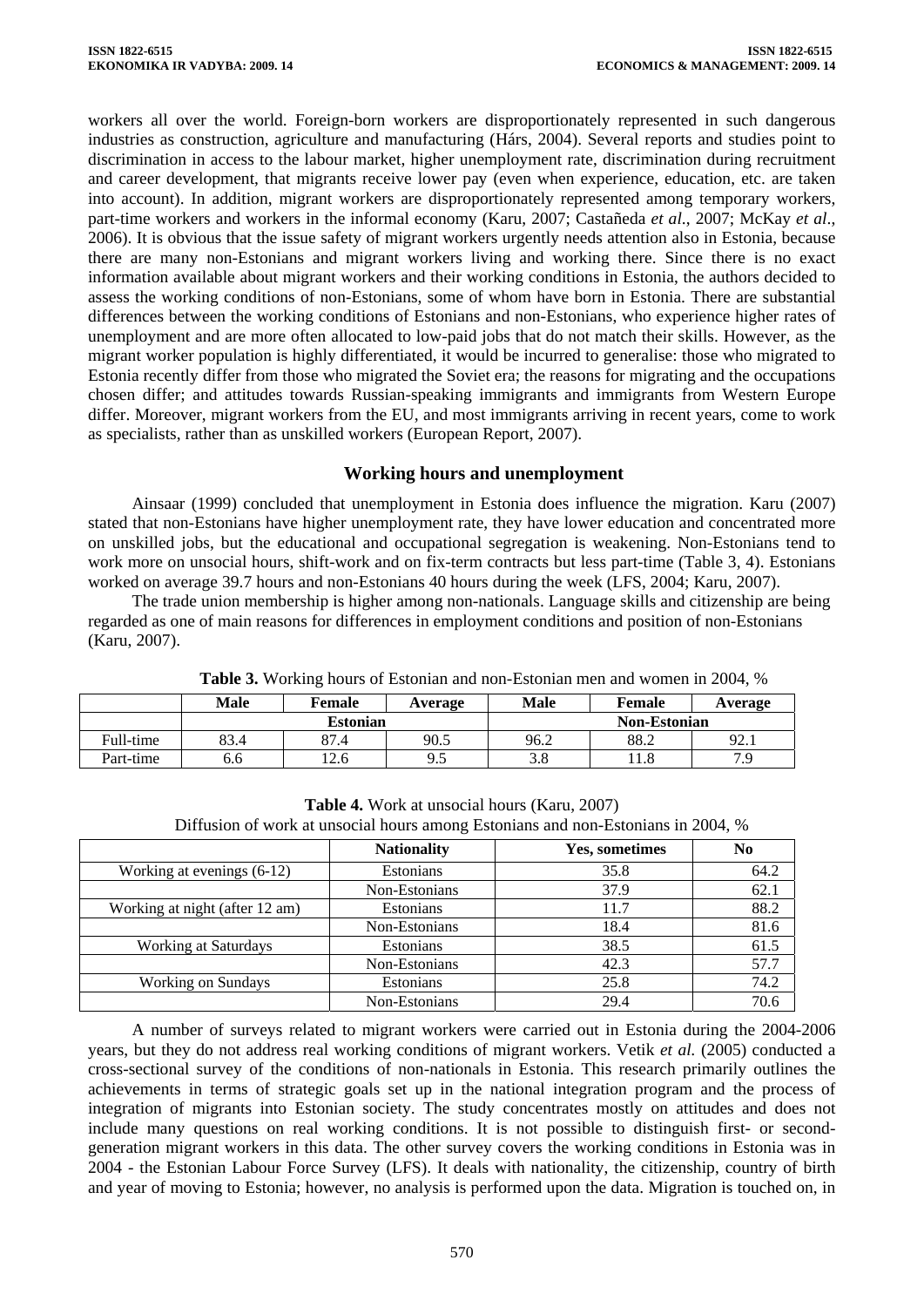workers all over the world. Foreign-born workers are disproportionately represented in such dangerous industries as construction, agriculture and manufacturing (Hárs, 2004). Several reports and studies point to discrimination in access to the labour market, higher unemployment rate, discrimination during recruitment and career development, that migrants receive lower pay (even when experience, education, etc. are taken into account). In addition, migrant workers are disproportionately represented among temporary workers, part-time workers and workers in the informal economy (Karu, 2007; Castañeda *et al*., 2007; McKay *et al*., 2006). It is obvious that the issue safety of migrant workers urgently needs attention also in Estonia, because there are many non-Estonians and migrant workers living and working there. Since there is no exact information available about migrant workers and their working conditions in Estonia, the authors decided to assess the working conditions of non-Estonians, some of whom have born in Estonia. There are substantial differences between the working conditions of Estonians and non-Estonians, who experience higher rates of unemployment and are more often allocated to low-paid jobs that do not match their skills. However, as the migrant worker population is highly differentiated, it would be incurred to generalise: those who migrated to Estonia recently differ from those who migrated the Soviet era; the reasons for migrating and the occupations chosen differ; and attitudes towards Russian-speaking immigrants and immigrants from Western Europe differ. Moreover, migrant workers from the EU, and most immigrants arriving in recent years, come to work as specialists, rather than as unskilled workers (European Report, 2007).

# **Working hours and unemployment**

Ainsaar (1999) concluded that unemployment in Estonia does influence the migration. Karu (2007) stated that non-Estonians have higher unemployment rate, they have lower education and concentrated more on unskilled jobs, but the educational and occupational segregation is weakening. Non-Estonians tend to work more on unsocial hours, shift-work and on fix-term contracts but less part-time (Table 3, 4). Estonians worked on average 39.7 hours and non-Estonians 40 hours during the week (LFS, 2004; Karu, 2007).

The trade union membership is higher among non-nationals. Language skills and citizenship are being regarded as one of main reasons for differences in employment conditions and position of non-Estonians (Karu, 2007).

|           | <b>Male</b> | Female          | Average                    | Male                | Female |      |  |  |
|-----------|-------------|-----------------|----------------------------|---------------------|--------|------|--|--|
|           |             | <b>Estonian</b> |                            | <b>Non-Estonian</b> |        |      |  |  |
| Full-time | 83.4        | 87.4            | 90.5                       | 96.2                | 88.2   | 92.1 |  |  |
| Part-time | 0.0         | 12.6            | $\Omega$ $\epsilon$<br>ر., | 2 O<br>J.O          | 11.8   | 7 Q  |  |  |

**Table 3.** Working hours of Estonian and non-Estonian men and women in 2004, %

| Diffusion of work at unsocial hours among Estonians and non-Estonians in 2004, % |                    |                |                |  |  |  |  |  |
|----------------------------------------------------------------------------------|--------------------|----------------|----------------|--|--|--|--|--|
|                                                                                  | <b>Nationality</b> | Yes, sometimes | N <sub>0</sub> |  |  |  |  |  |
| Working at evenings $(6-12)$                                                     | Estonians          | 35.8           | 64.2           |  |  |  |  |  |
|                                                                                  | Non-Estonians      | 37.9           | 62.1           |  |  |  |  |  |
| Working at night (after 12 am)                                                   | <b>Estonians</b>   | 11.7           | 88.2           |  |  |  |  |  |
|                                                                                  | Non-Estonians      | 18.4           | 81.6           |  |  |  |  |  |
| <b>Working at Saturdays</b>                                                      | <b>Estonians</b>   | 38.5           | 61.5           |  |  |  |  |  |
|                                                                                  | Non-Estonians      | 42.3           | 57.7           |  |  |  |  |  |
| <b>Working on Sundays</b>                                                        | <b>Estonians</b>   | 25.8           | 74.2           |  |  |  |  |  |
|                                                                                  | Non-Estonians      | 29.4           | 70.6           |  |  |  |  |  |

**Table 4.** Work at unsocial hours (Karu, 2007)

A number of surveys related to migrant workers were carried out in Estonia during the 2004-2006 years, but they do not address real working conditions of migrant workers. Vetik *et al.* (2005) conducted a cross-sectional survey of the conditions of non-nationals in Estonia. This research primarily outlines the achievements in terms of strategic goals set up in the national integration program and the process of integration of migrants into Estonian society. The study concentrates mostly on attitudes and does not include many questions on real working conditions. It is not possible to distinguish first- or secondgeneration migrant workers in this data. The other survey covers the working conditions in Estonia was in 2004 - the Estonian Labour Force Survey (LFS). It deals with nationality, the citizenship, country of birth and year of moving to Estonia; however, no analysis is performed upon the data. Migration is touched on, in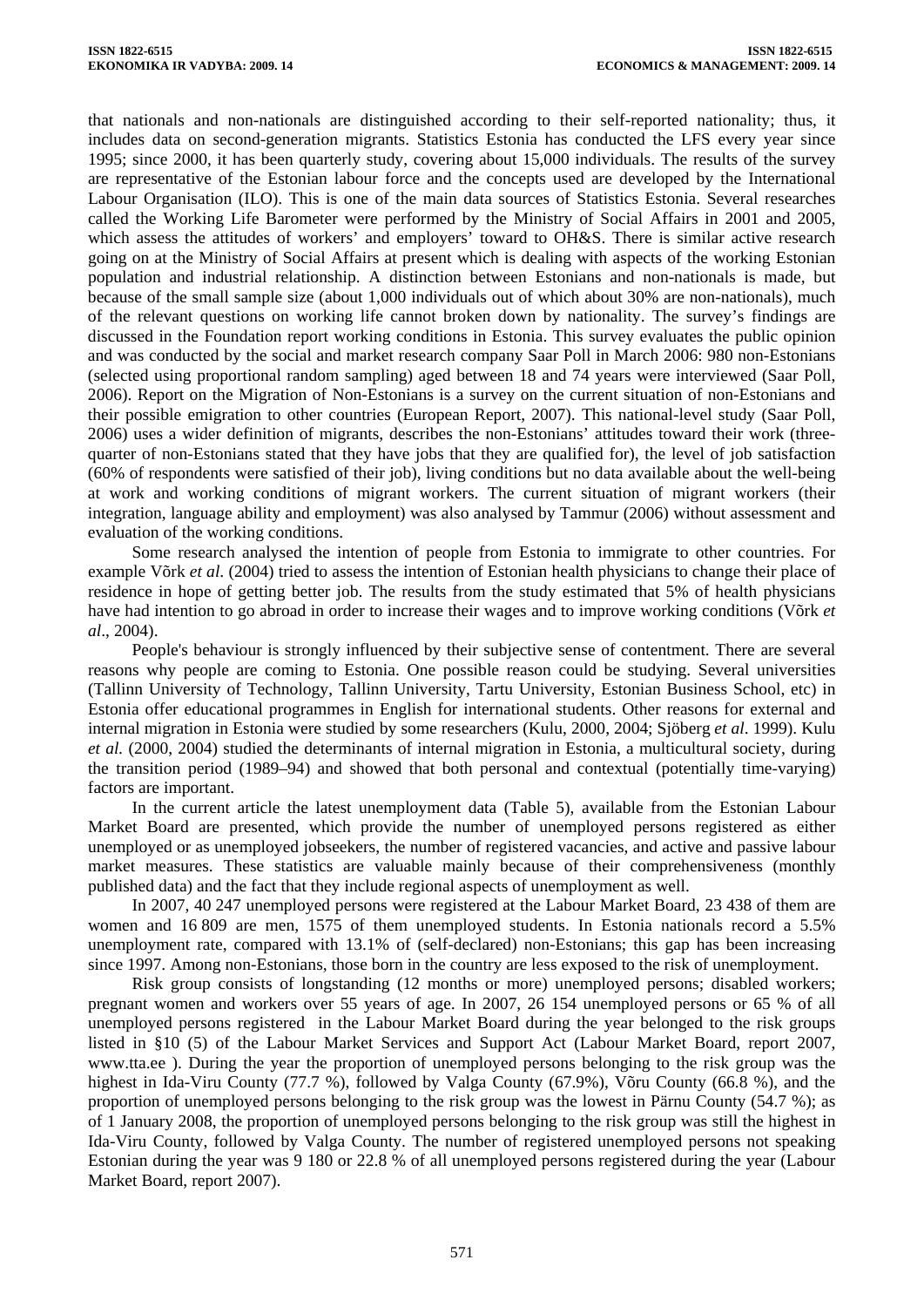that nationals and non-nationals are distinguished according to their self-reported nationality; thus, it includes data on second-generation migrants. Statistics Estonia has conducted the LFS every year since 1995; since 2000, it has been quarterly study, covering about 15,000 individuals. The results of the survey are representative of the Estonian labour force and the concepts used are developed by the International Labour Organisation (ILO). This is one of the main data sources of Statistics Estonia. Several researches called the Working Life Barometer were performed by the Ministry of Social Affairs in 2001 and 2005, which assess the attitudes of workers' and employers' toward to OH&S. There is similar active research going on at the Ministry of Social Affairs at present which is dealing with aspects of the working Estonian population and industrial relationship. A distinction between Estonians and non-nationals is made, but because of the small sample size (about 1,000 individuals out of which about 30% are non-nationals), much of the relevant questions on working life cannot broken down by nationality. The survey's findings are discussed in the Foundation report working conditions in Estonia. This survey evaluates the public opinion and was conducted by the social and market research company Saar Poll in March 2006: 980 non-Estonians (selected using proportional random sampling) aged between 18 and 74 years were interviewed (Saar Poll, 2006). Report on the Migration of Non-Estonians is a survey on the current situation of non-Estonians and their possible emigration to other countries (European Report, 2007). This national-level study (Saar Poll, 2006) uses a wider definition of migrants, describes the non-Estonians' attitudes toward their work (threequarter of non-Estonians stated that they have jobs that they are qualified for), the level of job satisfaction (60% of respondents were satisfied of their job), living conditions but no data available about the well-being at work and working conditions of migrant workers. The current situation of migrant workers (their integration, language ability and employment) was also analysed by Tammur (2006) without assessment and evaluation of the working conditions.

Some research analysed the intention of people from Estonia to immigrate to other countries. For example Võrk *et al*. (2004) tried to assess the intention of Estonian health physicians to change their place of residence in hope of getting better job. The results from the study estimated that 5% of health physicians have had intention to go abroad in order to increase their wages and to improve working conditions (Võrk *et al*., 2004).

People's behaviour is strongly influenced by their subjective sense of contentment. There are several reasons why people are coming to Estonia. One possible reason could be studying. Several universities (Tallinn University of Technology, Tallinn University, Tartu University, Estonian Business School, etc) in Estonia offer educational programmes in English for international students. Other reasons for external and internal migration in Estonia were studied by some researchers (Kulu, 2000, 2004; Sjöberg *et al*. 1999). Kulu *et al.* (2000, 2004) studied the determinants of internal migration in Estonia, a multicultural society, during the transition period (1989–94) and showed that both personal and contextual (potentially time-varying) factors are important.

In the current article the latest unemployment data (Table 5), available from the Estonian Labour Market Board are presented, which provide the number of unemployed persons registered as either unemployed or as unemployed jobseekers, the number of registered vacancies, and active and passive labour market measures. These statistics are valuable mainly because of their comprehensiveness (monthly published data) and the fact that they include regional aspects of unemployment as well.

In 2007, 40 247 unemployed persons were registered at the Labour Market Board, 23 438 of them are women and 16 809 are men, 1575 of them unemployed students. In Estonia nationals record a 5.5% unemployment rate, compared with 13.1% of (self-declared) non-Estonians; this gap has been increasing since 1997. Among non-Estonians, those born in the country are less exposed to the risk of unemployment.

Risk group consists of longstanding (12 months or more) unemployed persons; disabled workers; pregnant women and workers over 55 years of age. In 2007, 26 154 unemployed persons or 65 % of all unemployed persons registered in the Labour Market Board during the year belonged to the risk groups listed in §10 (5) of the Labour Market Services and Support Act (Labour Market Board, report 2007, [www.tta.ee](http://www.tta.ee/) ). During the year the proportion of unemployed persons belonging to the risk group was the highest in Ida-Viru County (77.7 %), followed by Valga County (67.9%), Võru County (66.8 %), and the proportion of unemployed persons belonging to the risk group was the lowest in Pärnu County (54.7 %); as of 1 January 2008, the proportion of unemployed persons belonging to the risk group was still the highest in Ida-Viru County, followed by Valga County. The number of registered unemployed persons not speaking Estonian during the year was 9 180 or 22.8 % of all unemployed persons registered during the year (Labour Market Board, report 2007).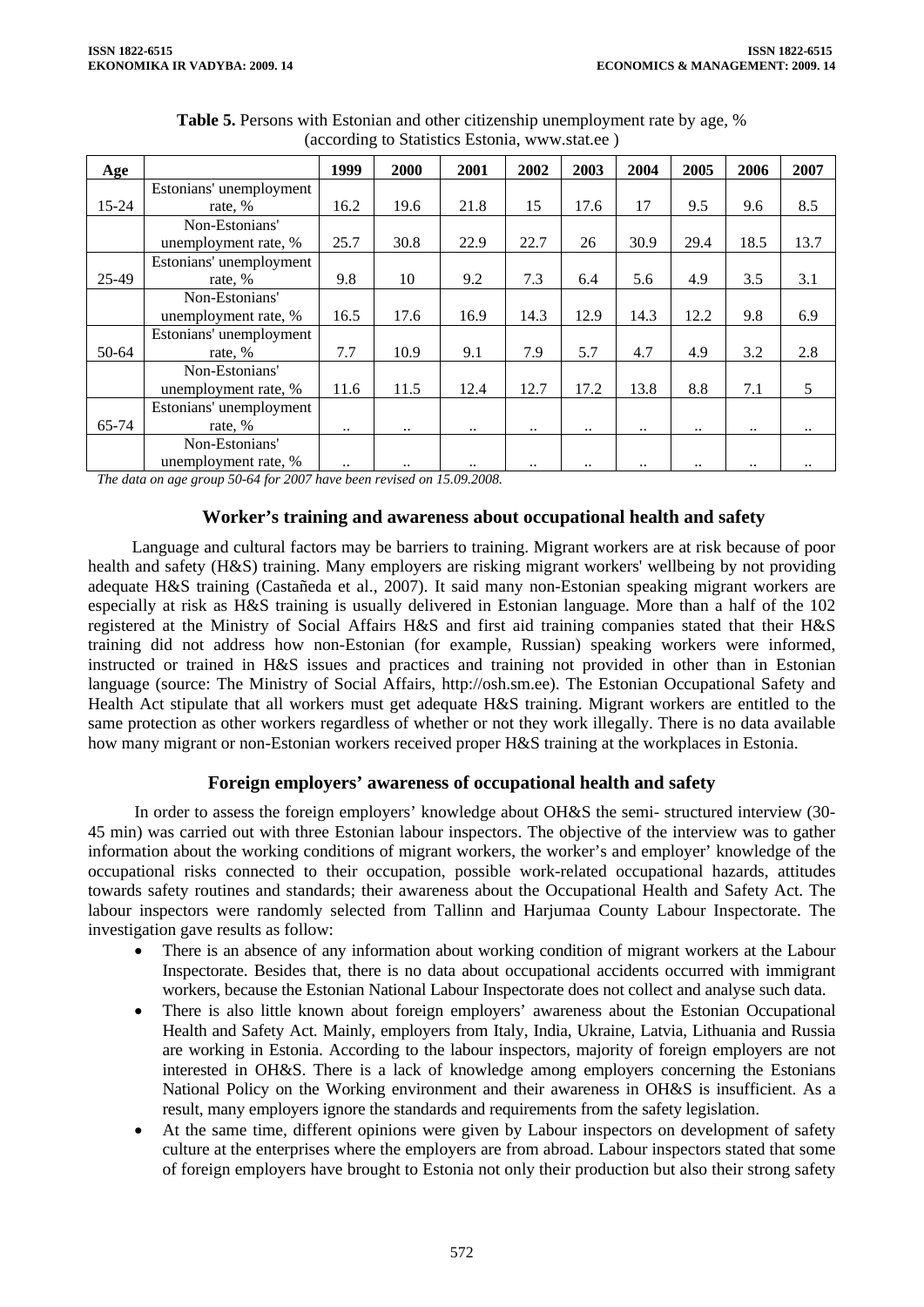| Age   |                         | 1999      | 2000                 | 2001      | 2002      | 2003 | 2004        | 2005      | 2006                   | 2007 |
|-------|-------------------------|-----------|----------------------|-----------|-----------|------|-------------|-----------|------------------------|------|
|       | Estonians' unemployment |           |                      |           |           |      |             |           |                        |      |
| 15-24 | rate, %                 | 16.2      | 19.6                 | 21.8      | 15        | 17.6 | 17          | 9.5       | 9.6                    | 8.5  |
|       | Non-Estonians'          |           |                      |           |           |      |             |           |                        |      |
|       | unemployment rate, %    | 25.7      | 30.8                 | 22.9      | 22.7      | 26   | 30.9        | 29.4      | 18.5                   | 13.7 |
|       | Estonians' unemployment |           |                      |           |           |      |             |           |                        |      |
| 25-49 | rate, %                 | 9.8       | 10                   | 9.2       | 7.3       | 6.4  | 5.6         | 4.9       | 3.5                    | 3.1  |
|       | Non-Estonians'          |           |                      |           |           |      |             |           |                        |      |
|       | unemployment rate, %    | 16.5      | 17.6                 | 16.9      | 14.3      | 12.9 | 14.3        | 12.2      | 9.8                    | 6.9  |
|       | Estonians' unemployment |           |                      |           |           |      |             |           |                        |      |
| 50-64 | rate, %                 | 7.7       | 10.9                 | 9.1       | 7.9       | 5.7  | 4.7         | 4.9       | 3.2                    | 2.8  |
|       | Non-Estonians'          |           |                      |           |           |      |             |           |                        |      |
|       | unemployment rate, %    | 11.6      | 11.5                 | 12.4      | 12.7      | 17.2 | 13.8        | 8.8       | 7.1                    | 5    |
|       | Estonians' unemployment |           |                      |           |           |      |             |           |                        |      |
| 65-74 | rate, %                 | $\ddotsc$ | $\ddotsc$            | $\ddotsc$ | $\ddotsc$ |      | $\ddotsc$   | $\ddotsc$ | $\ddotsc$              |      |
|       | Non-Estonians'          |           |                      |           |           |      |             |           |                        |      |
|       | unemployment rate, %    |           | $\ddot{\phantom{a}}$ |           |           |      | $\bullet$ . |           | $\ddot{\phantom{1}}$ . |      |

**Table 5.** Persons with Estonian and other citizenship unemployment rate by age, % (according to Statistics Estonia, [www.stat.ee](http://www.stat.ee/) )

*The data on age group 50-64 for 2007 have been revised on 15.09.2008.* 

# **Worker's training and awareness about occupational health and safety**

Language and cultural factors may be barriers to training. Migrant workers are at risk because of poor health and safety (H&S) training. Many employers are risking migrant workers' wellbeing by not providing adequate H&S training (Castañeda et al., 2007). It said many non-Estonian speaking migrant workers are especially at risk as H&S training is usually delivered in Estonian language. More than a half of the 102 registered at the Ministry of Social Affairs H&S and first aid training companies stated that their H&S training did not address how non-Estonian (for example, Russian) speaking workers were informed, instructed or trained in H&S issues and practices and training not provided in other than in Estonian language (source: The Ministry of Social Affairs, [http://osh.sm.ee](http://osh.sm.ee/)). The Estonian Occupational Safety and Health Act stipulate that all workers must get adequate H&S training. Migrant workers are entitled to the same protection as other workers regardless of whether or not they work illegally. There is no data available how many migrant or non-Estonian workers received proper H&S training at the workplaces in Estonia.

# **Foreign employers' awareness of occupational health and safety**

In order to assess the foreign employers' knowledge about OH&S the semi- structured interview (30- 45 min) was carried out with three Estonian labour inspectors. The objective of the interview was to gather information about the working conditions of migrant workers, the worker's and employer' knowledge of the occupational risks connected to their occupation, possible work-related occupational hazards, attitudes towards safety routines and standards; their awareness about the Occupational Health and Safety Act. The labour inspectors were randomly selected from Tallinn and Harjumaa County Labour Inspectorate. The investigation gave results as follow:

- There is an absence of any information about working condition of migrant workers at the Labour Inspectorate. Besides that, there is no data about occupational accidents occurred with immigrant workers, because the Estonian National Labour Inspectorate does not collect and analyse such data.
- There is also little known about foreign employers' awareness about the Estonian Occupational Health and Safety Act. Mainly, employers from Italy, India, Ukraine, Latvia, Lithuania and Russia are working in Estonia. According to the labour inspectors, majority of foreign employers are not interested in OH&S. There is a lack of knowledge among employers concerning the Estonians National Policy on the Working environment and their awareness in OH&S is insufficient. As a result, many employers ignore the standards and requirements from the safety legislation.
- At the same time, different opinions were given by Labour inspectors on development of safety culture at the enterprises where the employers are from abroad. Labour inspectors stated that some of foreign employers have brought to Estonia not only their production but also their strong safety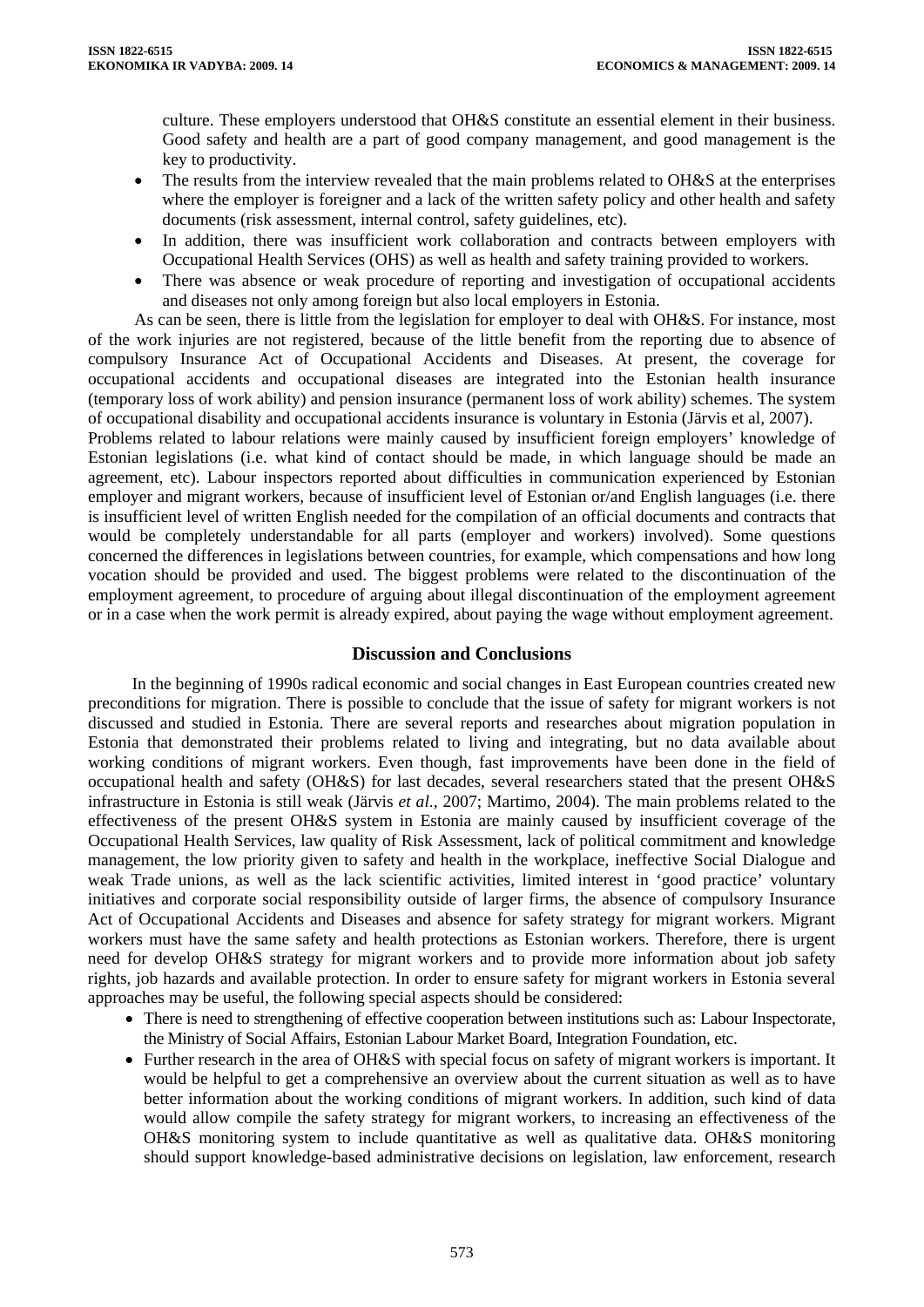culture. These employers understood that OH&S constitute an essential element in their business. Good safety and health are a part of good company management, and good management is the key to productivity.

- The results from the interview revealed that the main problems related to OH&S at the enterprises where the employer is foreigner and a lack of the written safety policy and other health and safety documents (risk assessment, internal control, safety guidelines, etc).
- In addition, there was insufficient work collaboration and contracts between employers with Occupational Health Services (OHS) as well as health and safety training provided to workers.
- There was absence or weak procedure of reporting and investigation of occupational accidents and diseases not only among foreign but also local employers in Estonia.

As can be seen, there is little from the legislation for employer to deal with OH&S. For instance, most of the work injuries are not registered, because of the little benefit from the reporting due to absence of compulsory Insurance Act of Occupational Accidents and Diseases. At present, the coverage for occupational accidents and occupational diseases are integrated into the Estonian health insurance (temporary loss of work ability) and pension insurance (permanent loss of work ability) schemes. The system of occupational disability and occupational accidents insurance is voluntary in Estonia (Järvis et al, 2007).

Problems related to labour relations were mainly caused by insufficient foreign employers' knowledge of Estonian legislations (i.e. what kind of contact should be made, in which language should be made an agreement, etc). Labour inspectors reported about difficulties in communication experienced by Estonian employer and migrant workers, because of insufficient level of Estonian or/and English languages (i.e. there is insufficient level of written English needed for the compilation of an official documents and contracts that would be completely understandable for all parts (employer and workers) involved). Some questions concerned the differences in legislations between countries, for example, which compensations and how long vocation should be provided and used. The biggest problems were related to the discontinuation of the employment agreement, to procedure of arguing about illegal discontinuation of the employment agreement or in a case when the work permit is already expired, about paying the wage without employment agreement.

### **Discussion and Conclusions**

In the beginning of 1990s radical economic and social changes in East European countries created new preconditions for migration. There is possible to conclude that the issue of safety for migrant workers is not discussed and studied in Estonia. There are several reports and researches about migration population in Estonia that demonstrated their problems related to living and integrating, but no data available about working conditions of migrant workers. Even though, fast improvements have been done in the field of occupational health and safety (OH&S) for last decades, several researchers stated that the present OH&S infrastructure in Estonia is still weak (Järvis *et al*., 2007; Martimo, 2004). The main problems related to the effectiveness of the present OH&S system in Estonia are mainly caused by insufficient coverage of the Occupational Health Services, law quality of Risk Assessment, lack of political commitment and knowledge management, the low priority given to safety and health in the workplace, ineffective Social Dialogue and weak Trade unions, as well as the lack scientific activities, limited interest in 'good practice' voluntary initiatives and corporate social responsibility outside of larger firms, the absence of compulsory Insurance Act of Occupational Accidents and Diseases and absence for safety strategy for migrant workers. Migrant workers must have the same safety and health protections as Estonian workers. Therefore, there is urgent need for develop OH&S strategy for migrant workers and to provide more information about job safety rights, job hazards and available protection. In order to ensure safety for migrant workers in Estonia several approaches may be useful, the following special aspects should be considered:

- There is need to strengthening of effective cooperation between institutions such as: Labour Inspectorate, the Ministry of Social Affairs, Estonian Labour Market Board, Integration Foundation, etc.
- Further research in the area of OH&S with special focus on safety of migrant workers is important. It would be helpful to get a comprehensive an overview about the current situation as well as to have better information about the working conditions of migrant workers. In addition, such kind of data would allow compile the safety strategy for migrant workers, to increasing an effectiveness of the OH&S monitoring system to include quantitative as well as qualitative data. OH&S monitoring should support knowledge-based administrative decisions on legislation, law enforcement, research